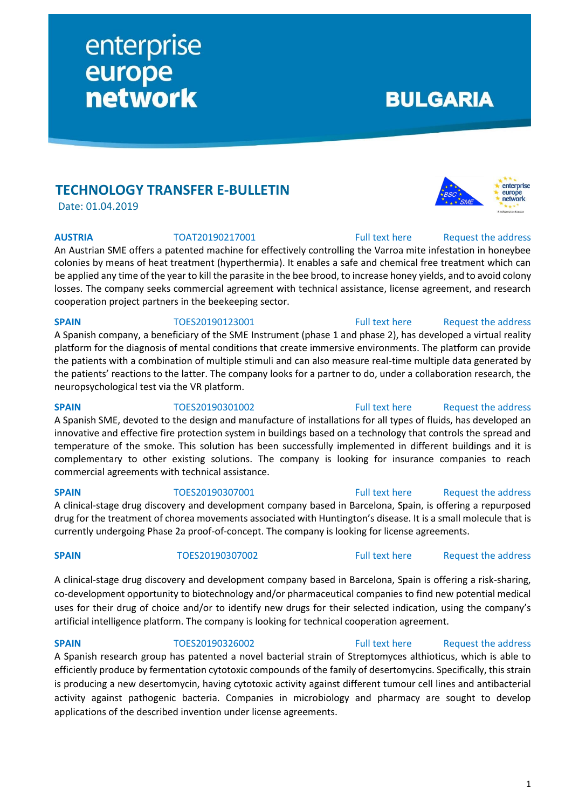# **TECHNOLOGY TRANSFER E-BULLETIN**

enterprise

**network** 

europe

Date: 01.04.2019

An Austrian SME offers a patented machine for effectively controlling the Varroa mite infestation in honeybee colonies by means of heat treatment (hyperthermia). It enables a safe and chemical free treatment which can be applied any time of the year to kill the parasite in the bee brood, to increase honey yields, and to avoid colony losses. The company seeks commercial agreement with technical assistance, license agreement, and research cooperation project partners in the beekeeping sector.

**SPAIN** TOES20190123001 [Full text here](https://een.ec.europa.eu/tools/services/PRO/Profile/Detail/9bf5d0de-6d90-41ba-8005-fdef7e037fc5) Request the address A Spanish company, a beneficiary of the SME Instrument (phase 1 and phase 2), has developed a virtual reality platform for the diagnosis of mental conditions that create immersive environments. The platform can provide the patients with a combination of multiple stimuli and can also measure real-time multiple data generated by the patients' reactions to the latter. The company looks for a partner to do, under a collaboration research, the neuropsychological test via the VR platform.

## **SPAIN** TOES20190301002 [Full text here](https://een.ec.europa.eu/tools/services/PRO/Profile/Detail/0d70b58c-7581-42ab-9048-93700090ca09) Request the address

A Spanish SME, devoted to the design and manufacture of installations for all types of fluids, has developed an innovative and effective fire protection system in buildings based on a technology that controls the spread and temperature of the smoke. This solution has been successfully implemented in different buildings and it is complementary to other existing solutions. The company is looking for insurance companies to reach commercial agreements with technical assistance.

A clinical-stage drug discovery and development company based in Barcelona, Spain, is offering a repurposed drug for the treatment of chorea movements associated with Huntington's disease. It is a small molecule that is currently undergoing Phase 2a proof-of-concept. The company is looking for license agreements.

A clinical-stage drug discovery and development company based in Barcelona, Spain is offering a risk-sharing, co-development opportunity to biotechnology and/or pharmaceutical companies to find new potential medical uses for their drug of choice and/or to identify new drugs for their selected indication, using the company's artificial intelligence platform. The company is looking for technical cooperation agreement.

# **SPAIN** TOES20190326002 [Full text here](https://een.ec.europa.eu/tools/services/PRO/Profile/Detail/92d07744-bcdf-4652-8420-49322304d021) Request the address

# A Spanish research group has patented a novel bacterial strain of Streptomyces althioticus, which is able to efficiently produce by fermentation cytotoxic compounds of the family of desertomycins. Specifically, this strain is producing a new desertomycin, having cytotoxic activity against different tumour cell lines and antibacterial activity against pathogenic bacteria. Companies in microbiology and pharmacy are sought to develop applications of the described invention under license agreements.

# **BULGARIA**



**SPAIN** TOES20190307001 [Full text here](https://een.ec.europa.eu/tools/services/PRO/Profile/Detail/c47975b9-0bc7-4502-986e-7d30c29d75a6) Request [the address](http://www.een.bg/index.php?option=com_rsform&formId=13)

# **SPAIN** TOES20190307002 [Full text here](https://een.ec.europa.eu/tools/services/PRO/Profile/Detail/f0119ea7-afa7-469f-992e-2f0663ab03b0) Request [the address](http://www.een.bg/index.php?option=com_rsform&formId=13)

**AUSTRIA** TOAT20190217001 [Full text here](https://een.ec.europa.eu/tools/services/PRO/Profile/Detail/d5d1bbbd-579b-4246-85e5-cc27bfa27320) Request the address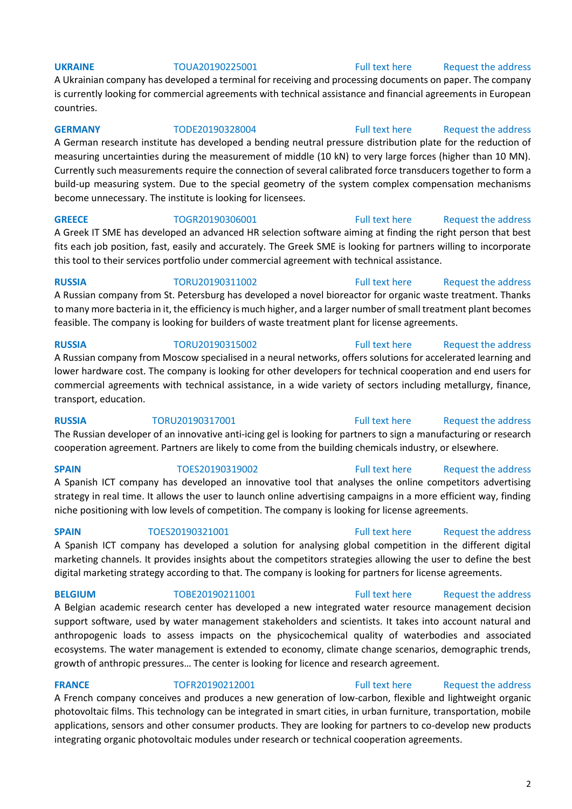A Ukrainian company has developed a terminal for receiving and processing documents on paper. The company is currently looking for commercial agreements with technical assistance and financial agreements in European countries.

**GERMANY** TODE20190328004 [Full text here](https://een.ec.europa.eu/tools/services/PRO/Profile/Detail/0e31178b-271b-4a46-9fb3-1be1c4c5a7f8) Request [the address](http://www.een.bg/index.php?option=com_rsform&formId=13) A German research institute has developed a bending neutral pressure distribution plate for the reduction of measuring uncertainties during the measurement of middle (10 kN) to very large forces (higher than 10 MN). Currently such measurements require the connection of several calibrated force transducers together to form a build-up measuring system. Due to the special geometry of the system complex compensation mechanisms become unnecessary. The institute is looking for licensees.

**GREECE** TOGR20190306001 [Full text here](https://een.ec.europa.eu/tools/services/PRO/Profile/Detail/e3671a49-686a-4b1c-bf3b-acaeb7c190f3) Request [the address](http://www.een.bg/index.php?option=com_rsform&formId=13) A Greek IT SME has developed an advanced HR selection software aiming at finding the right person that best fits each job position, fast, easily and accurately. The Greek SME is looking for partners willing to incorporate this tool to their services portfolio under commercial agreement with technical assistance.

**RUSSIA** TORU20190311002 [Full text here](https://een.ec.europa.eu/tools/services/PRO/Profile/Detail/056819fe-fa41-46c8-9872-ba99202bf38b) Request the address A Russian company from St. Petersburg has developed a novel bioreactor for organic waste treatment. Thanks to many more bacteria in it, the efficiency is much higher, and a larger number of small treatment plant becomes feasible. The company is looking for builders of waste treatment plant for license agreements.

# **RUSSIA** TORU20190315002 [Full text here](https://een.ec.europa.eu/tools/services/PRO/Profile/Detail/26f69b36-e397-48bb-828d-1d0bc6b2d72a) Request the address A Russian company from Moscow specialised in a neural networks, offers solutions for accelerated learning and lower hardware cost. The company is looking for other developers for technical cooperation and end users for commercial agreements with technical assistance, in a wide variety of sectors including metallurgy, finance, transport, education.

**RUSSIA** TORU20190317001 [Full text here](https://een.ec.europa.eu/tools/services/PRO/Profile/Detail/44dd1ae1-2b15-4c30-beb2-cec404a5aada) Request the address The Russian developer of an innovative anti-icing gel is looking for partners to sign a manufacturing or research cooperation agreement. Partners are likely to come from the building chemicals industry, or elsewhere.

**SPAIN** TOES20190319002 [Full text here](https://een.ec.europa.eu/tools/services/PRO/Profile/Detail/d7e887bb-8a7c-4648-bc29-8575514c1b85) Request [the address](http://www.een.bg/index.php?option=com_rsform&formId=13) A Spanish ICT company has developed an innovative tool that analyses the online competitors advertising strategy in real time. It allows the user to launch online advertising campaigns in a more efficient way, finding niche positioning with low levels of competition. The company is looking for license agreements.

## **SPAIN** TOES20190321001 **Full text here** Request the address

A Spanish ICT company has developed a solution for analysing global competition in the different digital marketing channels. It provides insights about the competitors strategies allowing the user to define the best digital marketing strategy according to that. The company is looking for partners for license agreements.

**BELGIUM** TOBE20190211001 [Full text here](https://een.ec.europa.eu/tools/services/PRO/Profile/Detail/db3d10a9-8390-4980-a128-c82f821053b6) Request the address

A Belgian academic research center has developed a new integrated water resource management decision support software, used by water management stakeholders and scientists. It takes into account natural and anthropogenic loads to assess impacts on the physicochemical quality of waterbodies and associated ecosystems. The water management is extended to economy, climate change scenarios, demographic trends, growth of anthropic pressures… The center is looking for licence and research agreement.

**FRANCE** TOFR20190212001 [Full text here](https://een.ec.europa.eu/tools/services/PRO/Profile/Detail/f93aa0af-f721-4e89-a2e0-bff529f337d1) Request the address A French company conceives and produces a new generation of low-carbon, flexible and lightweight organic photovoltaic films. This technology can be integrated in smart cities, in urban furniture, transportation, mobile applications, sensors and other consumer products. They are looking for partners to co-develop new products integrating organic photovoltaic modules under research or technical cooperation agreements.

## 2

## **UKRAINE** TOUA20190225001 [Full text here](https://een.ec.europa.eu/tools/services/PRO/Profile/Detail/4c93b7d3-7fed-4e4c-8ab4-b430e708568d) Request the address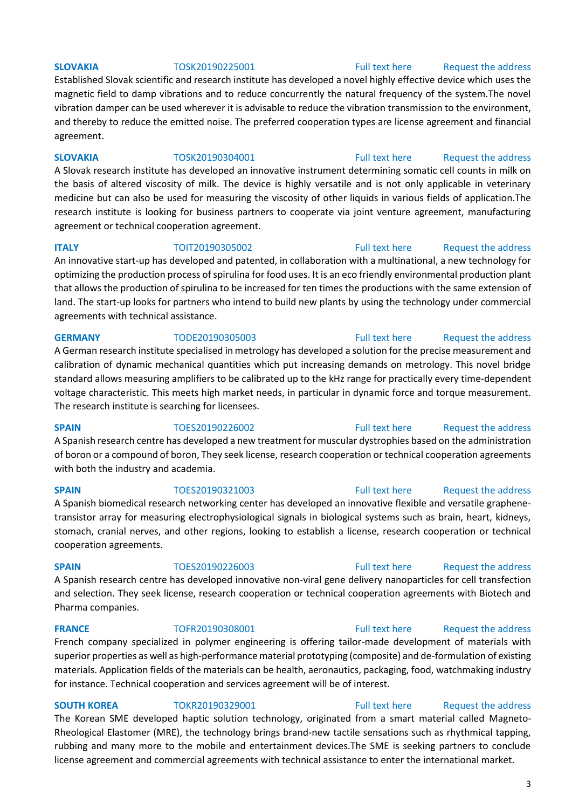## **SLOVAKIA** TOSK20190225001 [Full text here](https://een.ec.europa.eu/tools/services/PRO/Profile/Detail/9b5d6175-31e7-4387-bbeb-2c082f42948a) Request the address

Established Slovak scientific and research institute has developed a novel highly effective device which uses the magnetic field to damp vibrations and to reduce concurrently the natural frequency of the system.The novel vibration damper can be used wherever it is advisable to reduce the vibration transmission to the environment, and thereby to reduce the emitted noise. The preferred cooperation types are license agreement and financial agreement.

## **SLOVAKIA** TOSK20190304001 [Full text here](https://een.ec.europa.eu/tools/services/PRO/Profile/Detail/10152e05-8d70-4bd9-872a-005547ce1274) Request the address

A Slovak research institute has developed an innovative instrument determining somatic cell counts in milk on the basis of altered viscosity of milk. The device is highly versatile and is not only applicable in veterinary medicine but can also be used for measuring the viscosity of other liquids in various fields of application.The research institute is looking for business partners to cooperate via joint venture agreement, manufacturing agreement or technical cooperation agreement.

optimizing the production process of spirulina for food uses. It is an eco friendly environmental production plant that allows the production of spirulina to be increased for ten times the productions with the same extension of land. The start-up looks for partners who intend to build new plants by using the technology under commercial

agreements with technical assistance.

# **GERMANY** TODE20190305003 [Full text here](https://een.ec.europa.eu/tools/services/PRO/Profile/Detail/7bc9d2ca-0746-4bd0-8bb9-886a625165a3) Request the address

A German research institute specialised in metrology has developed a solution for the precise measurement and calibration of dynamic mechanical quantities which put increasing demands on metrology. This novel bridge standard allows measuring amplifiers to be calibrated up to the kHz range for practically every time-dependent voltage characteristic. This meets high market needs, in particular in dynamic force and torque measurement. The research institute is searching for licensees.

# **SPAIN** TOES20190226002 [Full text here](https://een.ec.europa.eu/tools/services/PRO/Profile/Detail/881e8ec3-317d-434b-ae72-ed1108b95d33) Request the address

A Spanish research centre has developed a new treatment for muscular dystrophies based on the administration of boron or a compound of boron, They seek license, research cooperation or technical cooperation agreements with both the industry and academia.

# A Spanish biomedical research networking center has developed an innovative flexible and versatile graphenetransistor array for measuring electrophysiological signals in biological systems such as brain, heart, kidneys, stomach, cranial nerves, and other regions, looking to establish a license, research cooperation or technical cooperation agreements.

A Spanish research centre has developed innovative non-viral gene delivery nanoparticles for cell transfection and selection. They seek license, research cooperation or technical cooperation agreements with Biotech and Pharma companies.

# **FRANCE** TOFR20190308001 [Full text here](https://een.ec.europa.eu/tools/services/PRO/Profile/Detail/79554c2c-b474-4cca-9c27-64caffa53e59) Request the address

French company specialized in polymer engineering is offering tailor-made development of materials with superior properties as well as high-performance material prototyping (composite) and de-formulation of existing materials. Application fields of the materials can be health, aeronautics, packaging, food, watchmaking industry for instance. Technical cooperation and services agreement will be of interest.

**SOUTH KOREA** TOKR20190329001 [Full text here](https://een.ec.europa.eu/tools/services/PRO/Profile/Detail/a65301ba-e6a0-4e65-b1c9-bfcb203cba5c) Request the address The Korean SME developed haptic solution technology, originated from a smart material called Magneto-Rheological Elastomer (MRE), the technology brings brand-new tactile sensations such as rhythmical tapping, rubbing and many more to the mobile and entertainment devices.The SME is seeking partners to conclude license agreement and commercial agreements with technical assistance to enter the international market.

# **SPAIN** TOES20190321003 [Full text here](https://een.ec.europa.eu/tools/services/PRO/Profile/Detail/cffc7e4c-a745-47f8-8f51-098a329e74d4) Request the address

# **SPAIN** TOES20190226003 [Full text here](https://een.ec.europa.eu/tools/services/PRO/Profile/Detail/1ad8c5eb-9003-4d9c-944f-7f70b689ec19) Request the address

## **ITALY TOIT20190305002** [Full text here](https://een.ec.europa.eu/tools/services/PRO/Profile/Detail/b01e1d6b-99a3-440a-b23e-4609952cc42f) Request the address An innovative start-up has developed and patented, in collaboration with a multinational, a new technology for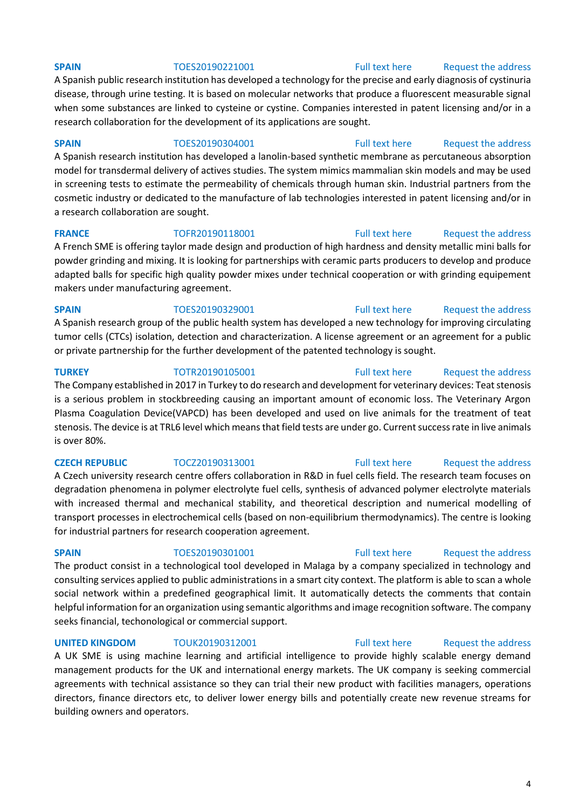A Spanish public research institution has developed a technology for the precise and early diagnosis of cystinuria disease, through urine testing. It is based on molecular networks that produce a fluorescent measurable signal when some substances are linked to cysteine or cystine. Companies interested in patent licensing and/or in a research collaboration for the development of its applications are sought.

# **SPAIN** TOES20190304001 [Full text here](https://een.ec.europa.eu/tools/services/PRO/Profile/Detail/4b79685d-3160-4874-a7d4-9fc9deaa9f6f) Request the address

A Spanish research institution has developed a lanolin-based synthetic membrane as percutaneous absorption model for transdermal delivery of actives studies. The system mimics mammalian skin models and may be used in screening tests to estimate the permeability of chemicals through human skin. Industrial partners from the cosmetic industry or dedicated to the manufacture of lab technologies interested in patent licensing and/or in a research collaboration are sought.

**FRANCE** TOFR20190118001 [Full text here](https://een.ec.europa.eu/tools/services/PRO/Profile/Detail/a52635a8-c014-44d3-926a-31306bf00e2a) Request the address A French SME is offering taylor made design and production of high hardness and density metallic mini balls for powder grinding and mixing. It is looking for partnerships with ceramic parts producers to develop and produce adapted balls for specific high quality powder mixes under technical cooperation or with grinding equipement

makers under manufacturing agreement.

# **SPAIN** TOES20190329001 [Full text here](https://een.ec.europa.eu/tools/services/PRO/Profile/Detail/713bfd49-d83b-4e2e-aa0c-ebc374cbe62d) Request the address A Spanish research group of the public health system has developed a new technology for improving circulating tumor cells (CTCs) isolation, detection and characterization. A license agreement or an agreement for a public or private partnership for the further development of the patented technology is sought.

# **TURKEY** TOTR20190105001 [Full text here](https://een.ec.europa.eu/tools/services/PRO/Profile/Detail/32e1cebb-38f4-4ec1-bf81-085e1baca6be) Request the address

The Company established in 2017 in Turkey to do research and development for veterinary devices: Teat stenosis is a serious problem in stockbreeding causing an important amount of economic loss. The Veterinary Argon Plasma Coagulation Device(VAPCD) has been developed and used on live animals for the treatment of teat stenosis. The device is at TRL6 level which means that field tests are under go. Current success rate in live animals is over 80%.

A Czech university research centre offers collaboration in R&D in fuel cells field. The research team focuses on degradation phenomena in polymer electrolyte fuel cells, synthesis of advanced polymer electrolyte materials with increased thermal and mechanical stability, and theoretical description and numerical modelling of transport processes in electrochemical cells (based on non-equilibrium thermodynamics). The centre is looking for industrial partners for research cooperation agreement.

# **SPAIN** TOES20190301001 [Full text here](https://een.ec.europa.eu/tools/services/PRO/Profile/Detail/c06bc3b0-613e-4951-803e-02793aa9b892) Request the address

The product consist in a technological tool developed in Malaga by a company specialized in technology and consulting services applied to public administrations in a smart city context. The platform is able to scan a whole social network within a predefined geographical limit. It automatically detects the comments that contain helpful information for an organization using semantic algorithms and image recognition software. The company seeks financial, techonological or commercial support.

# **UNITED KINGDOM** TOUK20190312001 [Full text here](https://een.ec.europa.eu/tools/services/PRO/Profile/Detail/2a676882-6a84-46ed-a3ce-098de54f3f60) Request the address

A UK SME is using machine learning and artificial intelligence to provide highly scalable energy demand management products for the UK and international energy markets. The UK company is seeking commercial agreements with technical assistance so they can trial their new product with facilities managers, operations directors, finance directors etc, to deliver lower energy bills and potentially create new revenue streams for building owners and operators.

## **SPAIN** TOES20190221001 [Full text here](https://een.ec.europa.eu/tools/services/PRO/Profile/Detail/8b68ec31-478f-4eff-befb-01b6fd6d8628) Request the address

# **CZECH REPUBLIC** TOCZ20190313001 [Full text here](https://een.ec.europa.eu/tools/services/PRO/Profile/Detail/b524b636-a022-47ef-8393-6cc1f256d9b3) Request the address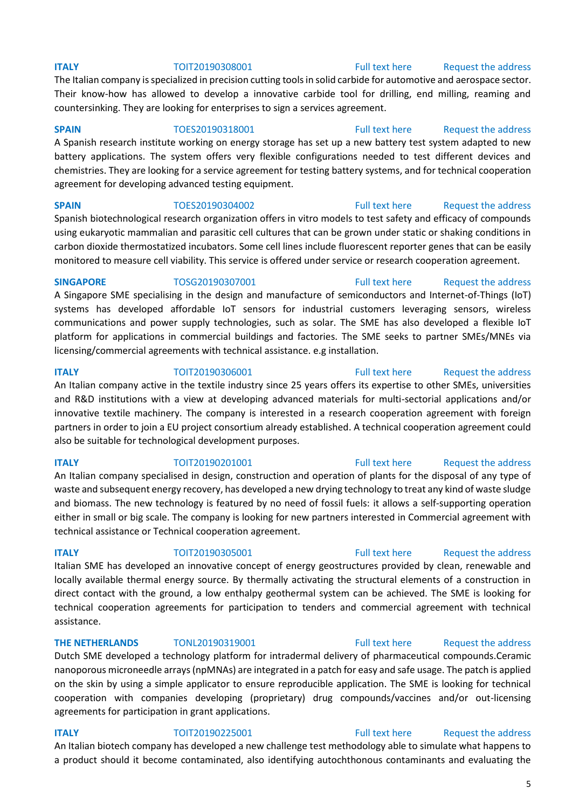The Italian company is specialized in precision cutting tools in solid carbide for automotive and aerospace sector. Their know-how has allowed to develop a innovative carbide tool for drilling, end milling, reaming and countersinking. They are looking for enterprises to sign a services agreement.

## **SPAIN** TOES20190318001 [Full text here](https://een.ec.europa.eu/tools/services/PRO/Profile/Detail/0c8aea4d-ed8f-472c-8719-70ff938a926a) Request the address

A Spanish research institute working on energy storage has set up a new battery test system adapted to new battery applications. The system offers very flexible configurations needed to test different devices and chemistries. They are looking for a service agreement for testing battery systems, and for technical cooperation agreement for developing advanced testing equipment.

**SPAIN** TOES20190304002 [Full text here](https://een.ec.europa.eu/tools/services/PRO/Profile/Detail/40e41058-12ed-4ac7-8f89-07da19088e0e) Request the address

Spanish biotechnological research organization offers in vitro models to test safety and efficacy of compounds using eukaryotic mammalian and parasitic cell cultures that can be grown under static or shaking conditions in carbon dioxide thermostatized incubators. Some cell lines include fluorescent reporter genes that can be easily monitored to measure cell viability. This service is offered under service or research cooperation agreement.

## **SINGAPORE** TOSG20190307001 [Full text here](https://een.ec.europa.eu/tools/services/PRO/Profile/Detail/bcc2a64a-a5a3-4cbd-978b-a36f6e8a8400) Request the address

A Singapore SME specialising in the design and manufacture of semiconductors and Internet-of-Things (IoT) systems has developed affordable IoT sensors for industrial customers leveraging sensors, wireless communications and power supply technologies, such as solar. The SME has also developed a flexible IoT platform for applications in commercial buildings and factories. The SME seeks to partner SMEs/MNEs via licensing/commercial agreements with technical assistance. e.g installation.

**ITALY TOIT20190306001** [Full text here](https://een.ec.europa.eu/tools/services/PRO/Profile/Detail/447c80c5-4112-439a-8fd2-beee821abcc2) Request the address An Italian company active in the textile industry since 25 years offers its expertise to other SMEs, universities and R&D institutions with a view at developing advanced materials for multi-sectorial applications and/or innovative textile machinery. The company is interested in a research cooperation agreement with foreign partners in order to join a EU project consortium already established. A technical cooperation agreement could also be suitable for technological development purposes.

**ITALY TOIT20190201001** [Full text here](https://een.ec.europa.eu/tools/services/PRO/Profile/Detail/23078a90-a294-49a9-b8d4-3db5df3b648f) Request the address An Italian company specialised in design, construction and operation of plants for the disposal of any type of waste and subsequent energy recovery, has developed a new drying technology to treat any kind of waste sludge and biomass. The new technology is featured by no need of fossil fuels: it allows a self-supporting operation either in small or big scale. The company is looking for new partners interested in Commercial agreement with technical assistance or Technical cooperation agreement.

## **ITALY TOIT20190305001** [Full text here](https://een.ec.europa.eu/tools/services/PRO/Profile/Detail/4740765c-0f8c-484d-8432-4c71fd16c469) Request the address

Italian SME has developed an innovative concept of energy geostructures provided by clean, renewable and locally available thermal energy source. By thermally activating the structural elements of a construction in direct contact with the ground, a low enthalpy geothermal system can be achieved. The SME is looking for technical cooperation agreements for participation to tenders and commercial agreement with technical assistance.

**THE NETHERLANDS** TONL20190319001 [Full text here](https://een.ec.europa.eu/tools/services/PRO/Profile/Detail/c32110a4-2e51-42d4-9faa-d3f197c473a4) Request the address

Dutch SME developed a technology platform for intradermal delivery of pharmaceutical compounds.Ceramic nanoporous microneedle arrays (npMNAs) are integrated in a patch for easy and safe usage. The patch is applied on the skin by using a simple applicator to ensure reproducible application. The SME is looking for technical cooperation with companies developing (proprietary) drug compounds/vaccines and/or out-licensing agreements for participation in grant applications.

**ITALY TOIT20190225001** [Full text here](https://een.ec.europa.eu/tools/services/PRO/Profile/Detail/607abebd-28fd-4a73-9dd6-d63a9dde6fc7) Request the address An Italian biotech company has developed a new challenge test methodology able to simulate what happens to a product should it become contaminated, also identifying autochthonous contaminants and evaluating the

# 5

# **ITALY TOIT20190308001** [Full text here](https://een.ec.europa.eu/tools/services/PRO/Profile/Detail/1253ac57-af3b-49bd-9d3f-17ac07984d03) Request the address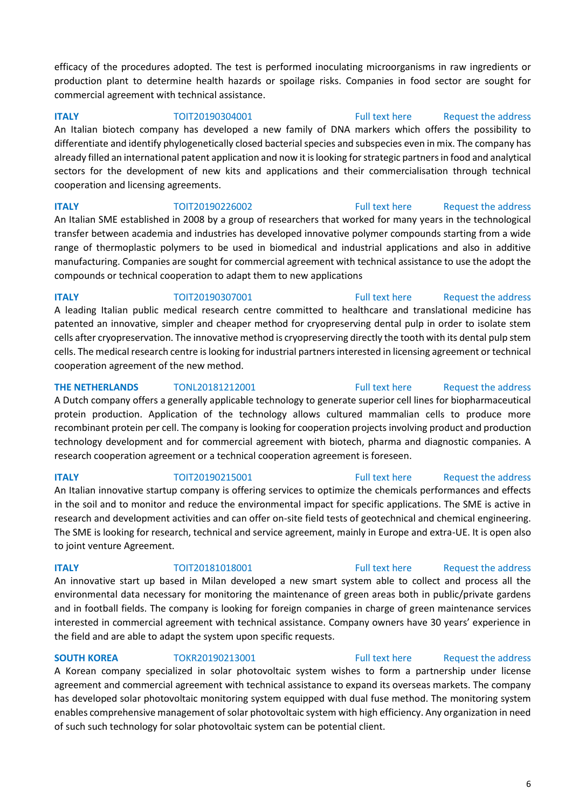efficacy of the procedures adopted. The test is performed inoculating microorganisms in raw ingredients or production plant to determine health hazards or spoilage risks. Companies in food sector are sought for commercial agreement with technical assistance.

## **ITALY TOIT20190304001** [Full text here](https://een.ec.europa.eu/tools/services/PRO/Profile/Detail/dcb2cea8-ef2c-40a9-8cf2-ff1258f861ec) Request the address

An Italian biotech company has developed a new family of DNA markers which offers the possibility to differentiate and identify phylogenetically closed bacterial species and subspecies even in mix. The company has already filled an international patent application and now it is looking for strategic partners in food and analytical sectors for the development of new kits and applications and their commercialisation through technical cooperation and licensing agreements.

**ITALY TOIT20190226002 TOIT20190226002** [Full text here](https://een.ec.europa.eu/tools/services/PRO/Profile/Detail/052893b2-9716-49ac-83cb-a9875e516178) Request the address An Italian SME established in 2008 by a group of researchers that worked for many years in the technological transfer between academia and industries has developed innovative polymer compounds starting from a wide range of thermoplastic polymers to be used in biomedical and industrial applications and also in additive manufacturing. Companies are sought for commercial agreement with technical assistance to use the adopt the compounds or technical cooperation to adapt them to new applications

**ITALY TOIT20190307001** [Full text here](https://een.ec.europa.eu/tools/services/PRO/Profile/Detail/73acc7bd-f0f3-4dd4-a8c0-01f7b2421b59) Request the address A leading Italian public medical research centre committed to healthcare and translational medicine has patented an innovative, simpler and cheaper method for cryopreserving dental pulp in order to isolate stem cells after cryopreservation. The innovative method is cryopreserving directly the tooth with its dental pulp stem cells. The medical research centre is looking for industrial partners interested in licensing agreement or technical cooperation agreement of the new method.

# **THE NETHERLANDS** TONL20181212001 **Full text here** Request the address A Dutch company offers a generally applicable technology to generate superior cell lines for biopharmaceutical protein production. Application of the technology allows cultured mammalian cells to produce more recombinant protein per cell. The company is looking for cooperation projects involving product and production technology development and for commercial agreement with biotech, pharma and diagnostic companies. A research cooperation agreement or a technical cooperation agreement is foreseen.

# **ITALY TOIT20190215001** [Full text here](https://een.ec.europa.eu/tools/services/PRO/Profile/Detail/48786d75-f8ca-40ab-8ecc-71bf7e3d38af) Request the address

An Italian innovative startup company is offering services to optimize the chemicals performances and effects in the soil and to monitor and reduce the environmental impact for specific applications. The SME is active in research and development activities and can offer on-site field tests of geotechnical and chemical engineering. The SME is looking for research, technical and service agreement, mainly in Europe and extra-UE. It is open also to joint venture Agreement.

# **ITALY TOIT20181018001** [Full text here](https://een.ec.europa.eu/tools/services/PRO/Profile/Detail/66b31ba2-f78d-455c-86bc-6c2cd115100a) Request the address An innovative start up based in Milan developed a new smart system able to collect and process all the environmental data necessary for monitoring the maintenance of green areas both in public/private gardens and in football fields. The company is looking for foreign companies in charge of green maintenance services interested in commercial agreement with technical assistance. Company owners have 30 years' experience in the field and are able to adapt the system upon specific requests.

# **SOUTH KOREA** TOKR20190213001 [Full text here](https://een.ec.europa.eu/tools/services/PRO/Profile/Detail/cb5faecb-dadf-41a2-a52a-bd584f305f74) Request the address

A Korean company specialized in solar photovoltaic system wishes to form a partnership under license agreement and commercial agreement with technical assistance to expand its overseas markets. The company has developed solar photovoltaic monitoring system equipped with dual fuse method. The monitoring system enables comprehensive management of solar photovoltaic system with high efficiency. Any organization in need of such such technology for solar photovoltaic system can be potential client.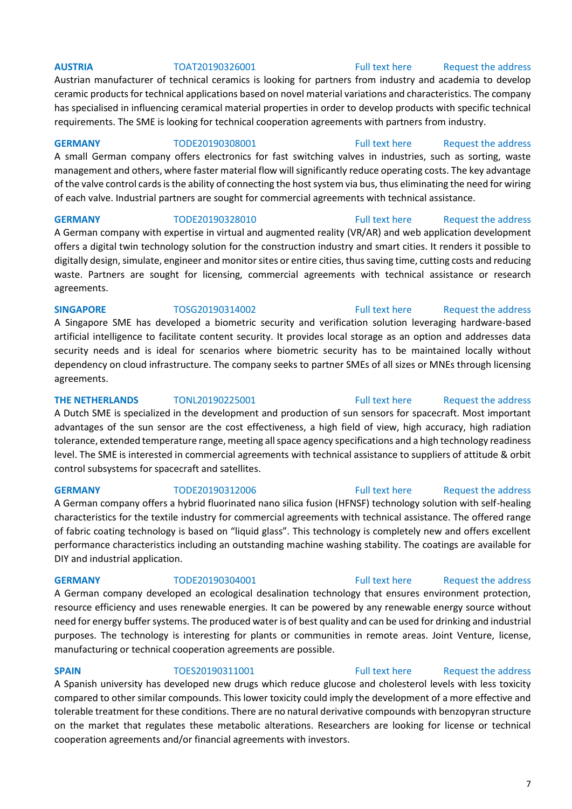# **AUSTRIA** TOAT20190326001 [Full text here](https://een.ec.europa.eu/tools/services/PRO/Profile/Detail/17f1ecd8-982c-4d8c-991e-e55859fed1c3) Request the address

# Austrian manufacturer of technical ceramics is looking for partners from industry and academia to develop ceramic products for technical applications based on novel material variations and characteristics. The company has specialised in influencing ceramical material properties in order to develop products with specific technical requirements. The SME is looking for technical cooperation agreements with partners from industry.

**GERMANY** TODE20190308001 [Full text here](https://een.ec.europa.eu/tools/services/PRO/Profile/Detail/2707ab16-9b65-4b2c-92b2-2a37f2f6ae21) Request the address A small German company offers electronics for fast switching valves in industries, such as sorting, waste management and others, where faster material flow will significantly reduce operating costs. The key advantage of the valve control cards is the ability of connecting the host system via bus, thus eliminating the need for wiring of each valve. Industrial partners are sought for commercial agreements with technical assistance.

## **GERMANY** TODE20190328010 [Full text here](https://een.ec.europa.eu/tools/services/PRO/Profile/Detail/1e649906-3c8f-4eef-92a1-a2ecc613e81c) Request the address

A German company with expertise in virtual and augmented reality (VR/AR) and web application development offers a digital twin technology solution for the construction industry and smart cities. It renders it possible to digitally design, simulate, engineer and monitor sites or entire cities, thus saving time, cutting costs and reducing waste. Partners are sought for licensing, commercial agreements with technical assistance or research agreements.

# **SINGAPORE** TOSG20190314002 [Full text here](https://een.ec.europa.eu/tools/services/PRO/Profile/Detail/b5e791f3-ade4-47b6-9b54-cd26c528b960) Request the address

A Singapore SME has developed a biometric security and verification solution leveraging hardware-based artificial intelligence to facilitate content security. It provides local storage as an option and addresses data security needs and is ideal for scenarios where biometric security has to be maintained locally without dependency on cloud infrastructure. The company seeks to partner SMEs of all sizes or MNEs through licensing agreements.

**THE NETHERLANDS** TONL20190225001 [Full text here](https://een.ec.europa.eu/tools/services/PRO/Profile/Detail/a0d0932e-d70b-4408-947e-683be2e9ecef) Request the address A Dutch SME is specialized in the development and production of sun sensors for spacecraft. Most important advantages of the sun sensor are the cost effectiveness, a high field of view, high accuracy, high radiation tolerance, extended temperature range, meeting all space agency specifications and a high technology readiness level. The SME is interested in commercial agreements with technical assistance to suppliers of attitude & orbit control subsystems for spacecraft and satellites.

A German company offers a hybrid fluorinated nano silica fusion (HFNSF) technology solution with self-healing characteristics for the textile industry for commercial agreements with technical assistance. The offered range of fabric coating technology is based on "liquid glass". This technology is completely new and offers excellent performance characteristics including an outstanding machine washing stability. The coatings are available for DIY and industrial application.

A German company developed an ecological desalination technology that ensures environment protection, resource efficiency and uses renewable energies. It can be powered by any renewable energy source without need for energy buffer systems. The produced water is of best quality and can be used for drinking and industrial purposes. The technology is interesting for plants or communities in remote areas. Joint Venture, license, manufacturing or technical cooperation agreements are possible.

**SPAIN** TOES20190311001 [Full text here](https://een.ec.europa.eu/tools/services/PRO/Profile/Detail/322ca437-8271-4b90-8829-cdfc678823a1) Request the address A Spanish university has developed new drugs which reduce glucose and cholesterol levels with less toxicity compared to other similar compounds. This lower toxicity could imply the development of a more effective and tolerable treatment for these conditions. There are no natural derivative compounds with benzopyran structure on the market that regulates these metabolic alterations. Researchers are looking for license or technical cooperation agreements and/or financial agreements with investors.

# **GERMANY** TODE20190312006 [Full text here](https://een.ec.europa.eu/tools/services/PRO/Profile/Detail/15993ad4-369d-41cf-b657-3fbe7f67960c) Request the address

# **GERMANY** TODE20190304001 [Full text here](https://een.ec.europa.eu/tools/services/PRO/Profile/Detail/9356e63a-c326-4833-b80b-31105d760d4d) Request the address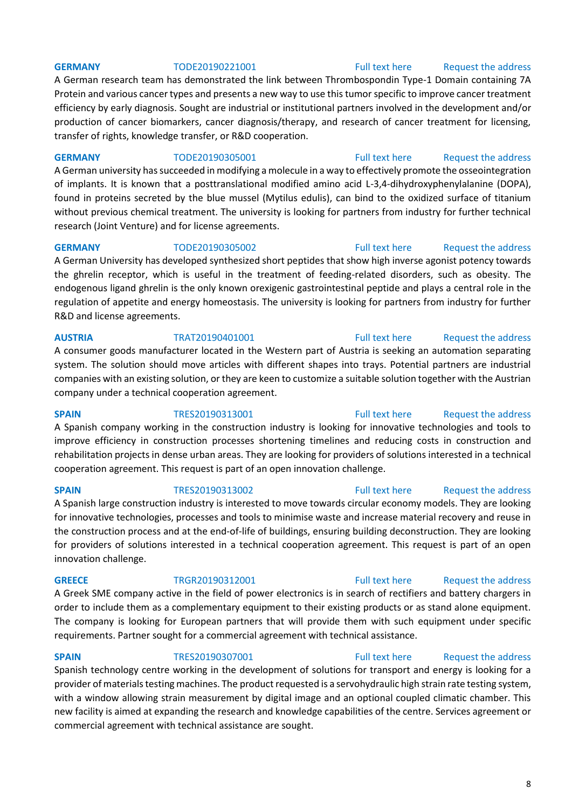# **GERMANY** TODE20190221001 [Full text here](https://een.ec.europa.eu/tools/services/PRO/Profile/Detail/4cc37cee-d76a-41b9-af32-cb82dc6cb7c0) Request the address

A German research team has demonstrated the link between Thrombospondin Type-1 Domain containing 7A Protein and various cancer types and presents a new way to use this tumor specific to improve cancer treatment efficiency by early diagnosis. Sought are industrial or institutional partners involved in the development and/or production of cancer biomarkers, cancer diagnosis/therapy, and research of cancer treatment for licensing, transfer of rights, knowledge transfer, or R&D cooperation.

**GERMANY** TODE20190305001 [Full text here](https://een.ec.europa.eu/tools/services/PRO/Profile/Detail/1bbef3ef-dbe4-429e-900d-e6757403f765) Request the address

A German university has succeeded in modifying a molecule in a way to effectively promote the osseointegration of implants. It is known that a posttranslational modified amino acid L-3,4-dihydroxyphenylalanine (DOPA), found in proteins secreted by the blue mussel (Mytilus edulis), can bind to the oxidized surface of titanium without previous chemical treatment. The university is looking for partners from industry for further technical research (Joint Venture) and for license agreements.

**GERMANY** TODE20190305002 [Full text here](https://een.ec.europa.eu/tools/services/PRO/Profile/Detail/675c3d22-1dfb-4b8f-b0e5-87e6b02fa02c) Request the address A German University has developed synthesized short peptides that show high inverse agonist potency towards the ghrelin receptor, which is useful in the treatment of feeding-related disorders, such as obesity. The endogenous ligand ghrelin is the only known orexigenic gastrointestinal peptide and plays a central role in the regulation of appetite and energy homeostasis. The university is looking for partners from industry for further R&D and license agreements.

# **AUSTRIA** TRAT20190401001 [Full text here](https://een.ec.europa.eu/tools/services/PRO/Profile/Detail/a2ad184d-1699-4bc4-9686-59e13efe3c99) [Request the address](http://www.een.bg/index.php?option=com_rsform&formId=13)

A consumer goods manufacturer located in the Western part of Austria is seeking an automation separating system. The solution should move articles with different shapes into trays. Potential partners are industrial companies with an existing solution, or they are keen to customize a suitable solution together with the Austrian company under a technical cooperation agreement.

**SPAIN** TRES20190313001 [Full text here](https://een.ec.europa.eu/tools/services/PRO/Profile/Detail/15b364fb-4b12-43c2-ab37-75312ad1120a) Request the address A Spanish company working in the construction industry is looking for innovative technologies and tools to improve efficiency in construction processes shortening timelines and reducing costs in construction and rehabilitation projects in dense urban areas. They are looking for providers of solutions interested in a technical cooperation agreement. This request is part of an open innovation challenge.

A Spanish large construction industry is interested to move towards circular economy models. They are looking for innovative technologies, processes and tools to minimise waste and increase material recovery and reuse in the construction process and at the end-of-life of buildings, ensuring building deconstruction. They are looking for providers of solutions interested in a technical cooperation agreement. This request is part of an open innovation challenge.

A Greek SME company active in the field of power electronics is in search of rectifiers and battery chargers in order to include them as a complementary equipment to their existing products or as stand alone equipment. The company is looking for European partners that will provide them with such equipment under specific requirements. Partner sought for a commercial agreement with technical assistance.

# **SPAIN** TRES20190307001 [Full text here](https://een.ec.europa.eu/tools/services/PRO/Profile/Detail/31a89871-2803-4175-9a6b-b9958ce78f10) Request the address

Spanish technology centre working in the development of solutions for transport and energy is looking for a provider of materials testing machines. The product requested is a servohydraulic high strain rate testing system, with a window allowing strain measurement by digital image and an optional coupled climatic chamber. This new facility is aimed at expanding the research and knowledge capabilities of the centre. Services agreement or commercial agreement with technical assistance are sought.

# **SPAIN** TRES20190313002 [Full text here](https://een.ec.europa.eu/tools/services/PRO/Profile/Detail/1eda8abb-bb3a-49ab-b3fa-14ccd6d3db30) Request the address

# GREECE TRGR20190312001 [Full text here](https://een.ec.europa.eu/tools/services/PRO/Profile/Detail/6635a057-af6f-4c44-897a-266ebd7c9614) Request the address

8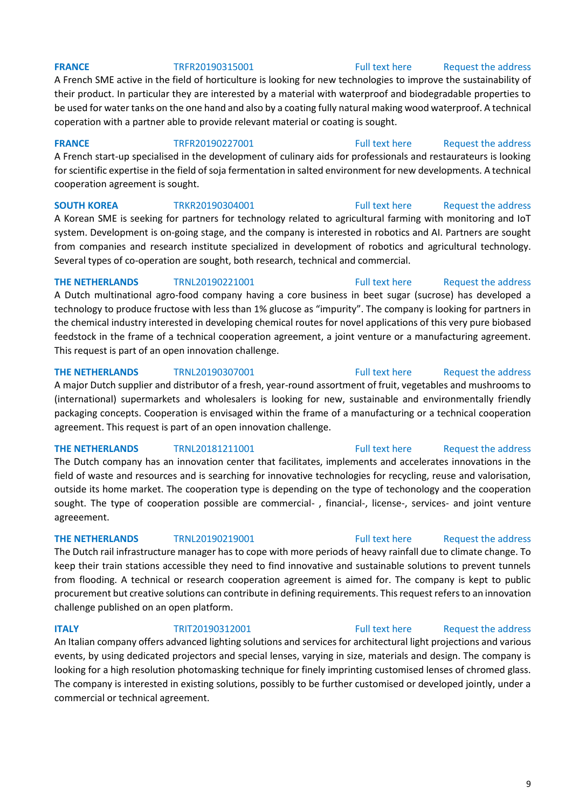# **FRANCE** TRFR20190315001 [Full text here](https://een.ec.europa.eu/tools/services/PRO/Profile/Detail/d31a9196-5627-4991-a172-598c6199c368) Request the address

A French SME active in the field of horticulture is looking for new technologies to improve the sustainability of their product. In particular they are interested by a material with waterproof and biodegradable properties to be used for water tanks on the one hand and also by a coating fully natural making wood waterproof. A technical coperation with a partner able to provide relevant material or coating is sought.

**FRANCE** TRFR20190227001 [Full text here](https://een.ec.europa.eu/tools/services/PRO/Profile/Detail/ea252cf3-ceed-44b7-bc3d-99dd648741dc) Request the address A French start-up specialised in the development of culinary aids for professionals and restaurateurs is looking for scientific expertise in the field of soja fermentation in salted environment for new developments. A technical cooperation agreement is sought.

# **SOUTH KOREA** TRKR20190304001 [Full text here](https://een.ec.europa.eu/tools/services/PRO/Profile/Detail/915893a9-d309-47c0-b51c-177942836aab) Request the address

A Korean SME is seeking for partners for technology related to agricultural farming with monitoring and IoT system. Development is on-going stage, and the company is interested in robotics and AI. Partners are sought from companies and research institute specialized in development of robotics and agricultural technology. Several types of co-operation are sought, both research, technical and commercial.

**THE NETHERLANDS** TRNL20190221001 [Full text here](https://een.ec.europa.eu/tools/services/PRO/Profile/Detail/896d6946-0b49-4ef7-9757-59617df16ddf) Request the address A Dutch multinational agro-food company having a core business in beet sugar (sucrose) has developed a technology to produce fructose with less than 1% glucose as "impurity". The company is looking for partners in the chemical industry interested in developing chemical routes for novel applications of this very pure biobased feedstock in the frame of a technical cooperation agreement, a joint venture or a manufacturing agreement. This request is part of an open innovation challenge.

**THE NETHERLANDS** TRNL20190307001 [Full text here](https://een.ec.europa.eu/tools/services/PRO/Profile/Detail/af97ea5b-0325-482b-8d68-cd46303bc76f) Request the address A major Dutch supplier and distributor of a fresh, year-round assortment of fruit, vegetables and mushrooms to (international) supermarkets and wholesalers is looking for new, sustainable and environmentally friendly packaging concepts. Cooperation is envisaged within the frame of a manufacturing or a technical cooperation agreement. This request is part of an open innovation challenge.

**THE NETHERLANDS** TRNL20181211001 [Full text here](https://een.ec.europa.eu/tools/services/PRO/Profile/Detail/87c30adb-a477-4c02-9110-56cafecc0462) Request the address

The Dutch company has an innovation center that facilitates, implements and accelerates innovations in the field of waste and resources and is searching for innovative technologies for recycling, reuse and valorisation, outside its home market. The cooperation type is depending on the type of techonology and the cooperation sought. The type of cooperation possible are commercial- , financial-, license-, services- and joint venture agreeement.

# **THE NETHERLANDS** TRNL20190219001 [Full text here](https://een.ec.europa.eu/tools/services/PRO/Profile/Detail/6f97acad-10e8-4408-b100-066e22fea2d1) Request the address

The Dutch rail infrastructure manager has to cope with more periods of heavy rainfall due to climate change. To keep their train stations accessible they need to find innovative and sustainable solutions to prevent tunnels from flooding. A technical or research cooperation agreement is aimed for. The company is kept to public procurement but creative solutions can contribute in defining requirements. This request refers to an innovation challenge published on an open platform.

# **ITALY TRIT20190312001 TRIT20190312001** [Full text here](https://een.ec.europa.eu/tools/services/PRO/Profile/Detail/4cf9ba4f-3c78-4616-b086-1f2363609dee) Request the address

An Italian company offers advanced lighting solutions and services for architectural light projections and various events, by using dedicated projectors and special lenses, varying in size, materials and design. The company is looking for a high resolution photomasking technique for finely imprinting customised lenses of chromed glass. The company is interested in existing solutions, possibly to be further customised or developed jointly, under a commercial or technical agreement.

# 9